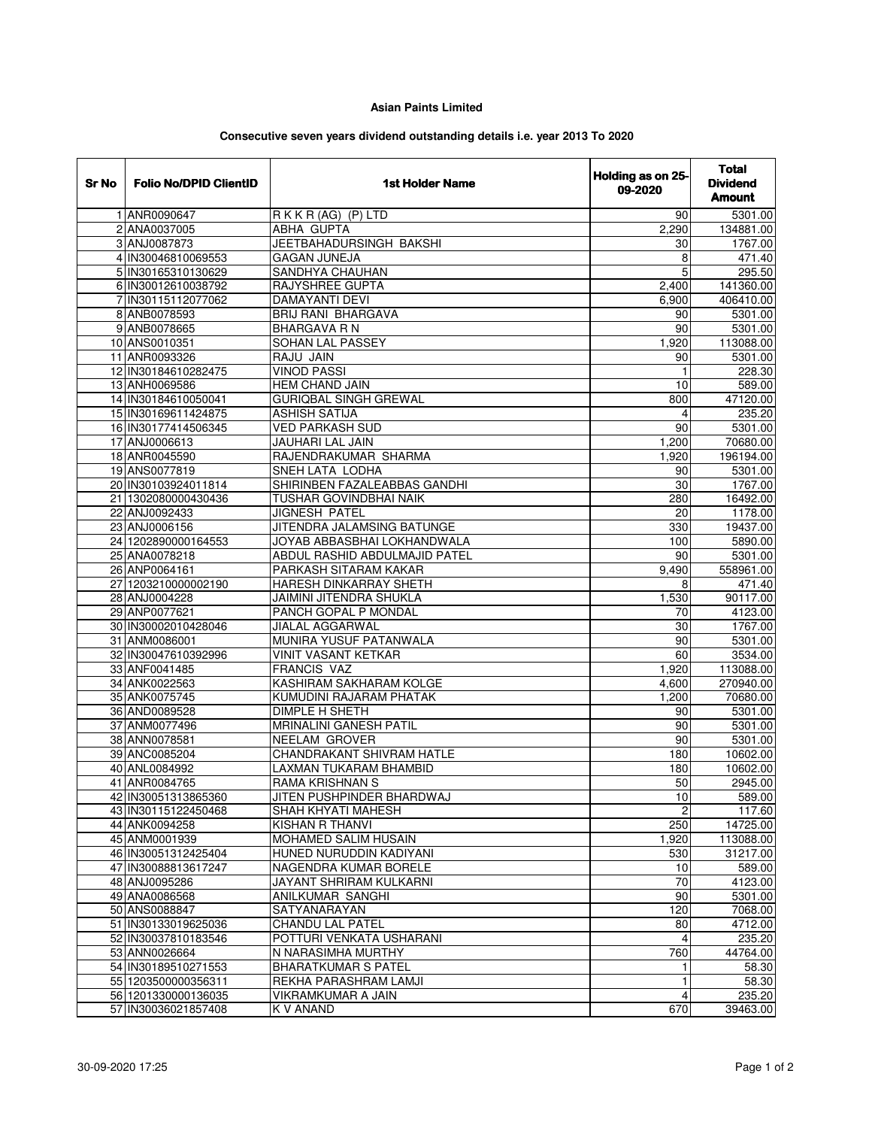## **Asian Paints Limited**

## **Consecutive seven years dividend outstanding details i.e. year 2013 To 2020**

| RKKR (AG) (P) LTD<br>1 ANR0090647<br>5301.00<br>90<br>2 ANA0037005<br>ABHA GUPTA<br>2,290<br>134881.00<br>3 ANJ0087873<br>JEETBAHADURSINGH BAKSHI<br>1767.00<br>30<br>4 IN30046810069553<br><b>GAGAN JUNEJA</b><br>8<br>471.40<br>SANDHYA CHAUHAN<br>5<br>295.50<br>5 IN30165310130629<br>RAJYSHREE GUPTA<br>6 IN30012610038792<br>141360.00<br>2,400<br>7 IN30115112077062<br><b>DAMAYANTI DEVI</b><br>6,900<br>406410.00<br>8 ANB0078593<br><b>BRIJ RANI BHARGAVA</b><br>5301.00<br>90<br>9 ANB0078665<br>5301.00<br><b>BHARGAVA R N</b><br>90<br>SOHAN LAL PASSEY<br>10 ANS0010351<br>1,920<br>113088.00<br>11 ANR0093326<br><b>RAJU JAIN</b><br>5301.00<br>90<br><b>VINOD PASSI</b><br>12 IN30184610282475<br>228.30<br>$\mathbf{1}$<br>13 ANH0069586<br>HEM CHAND JAIN<br>10<br>589.00<br>14 IN30184610050041<br><b>GURIQBAL SINGH GREWAL</b><br>47120.00<br>800<br><b>ASHISH SATIJA</b><br>15 IN30169611424875<br>235.20<br>4<br>16 IN30177414506345<br><b>VED PARKASH SUD</b><br>90<br>5301.00<br>17 ANJ0006613<br><b>JAUHARI LAL JAIN</b><br>70680.00<br>1,200<br>RAJENDRAKUMAR SHARMA<br>18 ANR0045590<br>196194.00<br>1,920<br>19 ANS0077819<br>SNEH LATA LODHA<br>90<br>5301.00<br>SHIRINBEN FAZALEABBAS GANDHI<br>30<br>1767.00<br>20 IN30103924011814<br>21 1302080000430436<br><b>TUSHAR GOVINDBHAI NAIK</b><br>280<br>16492.00<br><b>JIGNESH PATEL</b><br>$\overline{20}$<br>22 ANJ0092433<br>1178.00<br>23 ANJ0006156<br>JITENDRA JALAMSING BATUNGE<br>330<br>19437.00<br>24 1202890000164553<br>5890.00<br>JOYAB ABBASBHAI LOKHANDWALA<br>100<br>25 ANA0078218<br>ABDUL RASHID ABDULMAJID PATEL<br>5301.00<br>90<br>26 ANP0064161<br>PARKASH SITARAM KAKAR<br>558961.00<br>9,490<br>HARESH DINKARRAY SHETH<br>27 1203210000002190<br>471.40<br>8<br>28 ANJ0004228<br>JAIMINI JITENDRA SHUKLA<br>90117.00<br>1,530<br>29 ANP0077621<br>PANCH GOPAL P MONDAL<br>4123.00<br>70<br>30 IN30002010428046<br><b>JIALAL AGGARWAL</b><br>30<br>1767.00<br><b>MUNIRA YUSUF PATANWALA</b><br>31 ANM0086001<br>$\overline{90}$<br>5301.00<br><b>VINIT VASANT KETKAR</b><br>3534.00<br>32 IN30047610392996<br>60<br><b>FRANCIS VAZ</b><br>33 ANF0041485<br>1,920<br>113088.00<br>34 ANK0022563<br>KASHIRAM SAKHARAM KOLGE<br>270940.00<br>4,600<br><b>KUMUDINI RAJARAM PHATAK</b><br>35 ANK0075745<br>1,200<br>70680.00<br>DIMPLE H SHETH<br>36 AND0089528<br>90<br>5301.00<br><b>MRINALINI GANESH PATIL</b><br>37 ANM0077496<br>90<br>5301.00<br><b>NEELAM GROVER</b><br>90<br>38 ANN0078581<br>5301.00<br>CHANDRAKANT SHIVRAM HATLE<br>39 ANC0085204<br>180<br>10602.00<br>40 ANL0084992<br>LAXMAN TUKARAM BHAMBID<br>180<br>10602.00<br>41 ANR0084765<br>RAMA KRISHNAN S<br>50<br>2945.00<br>JITEN PUSHPINDER BHARDWAJ<br>10<br>42 IN30051313865360<br>589.00<br>SHAH KHYATI MAHESH<br>2<br>117.60<br>43 IN30115122450468<br>14725.00<br>44 ANK0094258<br>KISHAN R THANVI<br>250<br>MOHAMED SALIM HUSAIN<br>1,920<br>113088.00<br>45 ANM0001939<br>HUNED NURUDDIN KADIYANI<br>31217.00<br>46 IN30051312425404<br>530<br>47 IN30088813617247<br>NAGENDRA KUMAR BORELE<br>589.00<br>10<br>70<br>JAYANT SHRIRAM KULKARNI<br>4123.00<br>48 ANJ0095286<br>49 ANA0086568<br><b>ANILKUMAR SANGHI</b><br>90<br>5301.00<br>50 ANS0088847<br>SATYANARAYAN<br>120<br>7068.00<br>51 IN30133019625036<br><b>CHANDU LAL PATEL</b><br>4712.00<br>80<br>52 IN30037810183546<br>POTTURI VENKATA USHARANI<br>235.20<br>4<br>53 ANN0026664<br>N NARASIMHA MURTHY<br>44764.00<br>760<br>54 IN30189510271553<br><b>BHARATKUMAR S PATEL</b><br>58.30<br>1<br>55 1203500000356311<br>REKHA PARASHRAM LAMJI<br>$\overline{58.30}$<br>$\mathbf{1}$<br>56 1201330000136035<br><b>VIKRAMKUMAR A JAIN</b><br>235.20<br>4<br>57 IN30036021857408<br>K V ANAND<br>670<br>39463.00 | Sr No | <b>Folio No/DPID ClientID</b> | <b>1st Holder Name</b> | Holding as on 25-<br>09-2020 | <b>Total</b><br><b>Dividend</b><br><b>Amount</b> |
|------------------------------------------------------------------------------------------------------------------------------------------------------------------------------------------------------------------------------------------------------------------------------------------------------------------------------------------------------------------------------------------------------------------------------------------------------------------------------------------------------------------------------------------------------------------------------------------------------------------------------------------------------------------------------------------------------------------------------------------------------------------------------------------------------------------------------------------------------------------------------------------------------------------------------------------------------------------------------------------------------------------------------------------------------------------------------------------------------------------------------------------------------------------------------------------------------------------------------------------------------------------------------------------------------------------------------------------------------------------------------------------------------------------------------------------------------------------------------------------------------------------------------------------------------------------------------------------------------------------------------------------------------------------------------------------------------------------------------------------------------------------------------------------------------------------------------------------------------------------------------------------------------------------------------------------------------------------------------------------------------------------------------------------------------------------------------------------------------------------------------------------------------------------------------------------------------------------------------------------------------------------------------------------------------------------------------------------------------------------------------------------------------------------------------------------------------------------------------------------------------------------------------------------------------------------------------------------------------------------------------------------------------------------------------------------------------------------------------------------------------------------------------------------------------------------------------------------------------------------------------------------------------------------------------------------------------------------------------------------------------------------------------------------------------------------------------------------------------------------------------------------------------------------------------------------------------------------------------------------------------------------------------------------------------------------------------------------------------------------------------------------------------------------------------------------------------------------------------------------------------------------------------------------------------------------------------------------------------------------------------------------------------------------------------------------------------------------------------------------------------------|-------|-------------------------------|------------------------|------------------------------|--------------------------------------------------|
|                                                                                                                                                                                                                                                                                                                                                                                                                                                                                                                                                                                                                                                                                                                                                                                                                                                                                                                                                                                                                                                                                                                                                                                                                                                                                                                                                                                                                                                                                                                                                                                                                                                                                                                                                                                                                                                                                                                                                                                                                                                                                                                                                                                                                                                                                                                                                                                                                                                                                                                                                                                                                                                                                                                                                                                                                                                                                                                                                                                                                                                                                                                                                                                                                                                                                                                                                                                                                                                                                                                                                                                                                                                                                                                                                            |       |                               |                        |                              |                                                  |
|                                                                                                                                                                                                                                                                                                                                                                                                                                                                                                                                                                                                                                                                                                                                                                                                                                                                                                                                                                                                                                                                                                                                                                                                                                                                                                                                                                                                                                                                                                                                                                                                                                                                                                                                                                                                                                                                                                                                                                                                                                                                                                                                                                                                                                                                                                                                                                                                                                                                                                                                                                                                                                                                                                                                                                                                                                                                                                                                                                                                                                                                                                                                                                                                                                                                                                                                                                                                                                                                                                                                                                                                                                                                                                                                                            |       |                               |                        |                              |                                                  |
|                                                                                                                                                                                                                                                                                                                                                                                                                                                                                                                                                                                                                                                                                                                                                                                                                                                                                                                                                                                                                                                                                                                                                                                                                                                                                                                                                                                                                                                                                                                                                                                                                                                                                                                                                                                                                                                                                                                                                                                                                                                                                                                                                                                                                                                                                                                                                                                                                                                                                                                                                                                                                                                                                                                                                                                                                                                                                                                                                                                                                                                                                                                                                                                                                                                                                                                                                                                                                                                                                                                                                                                                                                                                                                                                                            |       |                               |                        |                              |                                                  |
|                                                                                                                                                                                                                                                                                                                                                                                                                                                                                                                                                                                                                                                                                                                                                                                                                                                                                                                                                                                                                                                                                                                                                                                                                                                                                                                                                                                                                                                                                                                                                                                                                                                                                                                                                                                                                                                                                                                                                                                                                                                                                                                                                                                                                                                                                                                                                                                                                                                                                                                                                                                                                                                                                                                                                                                                                                                                                                                                                                                                                                                                                                                                                                                                                                                                                                                                                                                                                                                                                                                                                                                                                                                                                                                                                            |       |                               |                        |                              |                                                  |
|                                                                                                                                                                                                                                                                                                                                                                                                                                                                                                                                                                                                                                                                                                                                                                                                                                                                                                                                                                                                                                                                                                                                                                                                                                                                                                                                                                                                                                                                                                                                                                                                                                                                                                                                                                                                                                                                                                                                                                                                                                                                                                                                                                                                                                                                                                                                                                                                                                                                                                                                                                                                                                                                                                                                                                                                                                                                                                                                                                                                                                                                                                                                                                                                                                                                                                                                                                                                                                                                                                                                                                                                                                                                                                                                                            |       |                               |                        |                              |                                                  |
|                                                                                                                                                                                                                                                                                                                                                                                                                                                                                                                                                                                                                                                                                                                                                                                                                                                                                                                                                                                                                                                                                                                                                                                                                                                                                                                                                                                                                                                                                                                                                                                                                                                                                                                                                                                                                                                                                                                                                                                                                                                                                                                                                                                                                                                                                                                                                                                                                                                                                                                                                                                                                                                                                                                                                                                                                                                                                                                                                                                                                                                                                                                                                                                                                                                                                                                                                                                                                                                                                                                                                                                                                                                                                                                                                            |       |                               |                        |                              |                                                  |
|                                                                                                                                                                                                                                                                                                                                                                                                                                                                                                                                                                                                                                                                                                                                                                                                                                                                                                                                                                                                                                                                                                                                                                                                                                                                                                                                                                                                                                                                                                                                                                                                                                                                                                                                                                                                                                                                                                                                                                                                                                                                                                                                                                                                                                                                                                                                                                                                                                                                                                                                                                                                                                                                                                                                                                                                                                                                                                                                                                                                                                                                                                                                                                                                                                                                                                                                                                                                                                                                                                                                                                                                                                                                                                                                                            |       |                               |                        |                              |                                                  |
|                                                                                                                                                                                                                                                                                                                                                                                                                                                                                                                                                                                                                                                                                                                                                                                                                                                                                                                                                                                                                                                                                                                                                                                                                                                                                                                                                                                                                                                                                                                                                                                                                                                                                                                                                                                                                                                                                                                                                                                                                                                                                                                                                                                                                                                                                                                                                                                                                                                                                                                                                                                                                                                                                                                                                                                                                                                                                                                                                                                                                                                                                                                                                                                                                                                                                                                                                                                                                                                                                                                                                                                                                                                                                                                                                            |       |                               |                        |                              |                                                  |
|                                                                                                                                                                                                                                                                                                                                                                                                                                                                                                                                                                                                                                                                                                                                                                                                                                                                                                                                                                                                                                                                                                                                                                                                                                                                                                                                                                                                                                                                                                                                                                                                                                                                                                                                                                                                                                                                                                                                                                                                                                                                                                                                                                                                                                                                                                                                                                                                                                                                                                                                                                                                                                                                                                                                                                                                                                                                                                                                                                                                                                                                                                                                                                                                                                                                                                                                                                                                                                                                                                                                                                                                                                                                                                                                                            |       |                               |                        |                              |                                                  |
|                                                                                                                                                                                                                                                                                                                                                                                                                                                                                                                                                                                                                                                                                                                                                                                                                                                                                                                                                                                                                                                                                                                                                                                                                                                                                                                                                                                                                                                                                                                                                                                                                                                                                                                                                                                                                                                                                                                                                                                                                                                                                                                                                                                                                                                                                                                                                                                                                                                                                                                                                                                                                                                                                                                                                                                                                                                                                                                                                                                                                                                                                                                                                                                                                                                                                                                                                                                                                                                                                                                                                                                                                                                                                                                                                            |       |                               |                        |                              |                                                  |
|                                                                                                                                                                                                                                                                                                                                                                                                                                                                                                                                                                                                                                                                                                                                                                                                                                                                                                                                                                                                                                                                                                                                                                                                                                                                                                                                                                                                                                                                                                                                                                                                                                                                                                                                                                                                                                                                                                                                                                                                                                                                                                                                                                                                                                                                                                                                                                                                                                                                                                                                                                                                                                                                                                                                                                                                                                                                                                                                                                                                                                                                                                                                                                                                                                                                                                                                                                                                                                                                                                                                                                                                                                                                                                                                                            |       |                               |                        |                              |                                                  |
|                                                                                                                                                                                                                                                                                                                                                                                                                                                                                                                                                                                                                                                                                                                                                                                                                                                                                                                                                                                                                                                                                                                                                                                                                                                                                                                                                                                                                                                                                                                                                                                                                                                                                                                                                                                                                                                                                                                                                                                                                                                                                                                                                                                                                                                                                                                                                                                                                                                                                                                                                                                                                                                                                                                                                                                                                                                                                                                                                                                                                                                                                                                                                                                                                                                                                                                                                                                                                                                                                                                                                                                                                                                                                                                                                            |       |                               |                        |                              |                                                  |
|                                                                                                                                                                                                                                                                                                                                                                                                                                                                                                                                                                                                                                                                                                                                                                                                                                                                                                                                                                                                                                                                                                                                                                                                                                                                                                                                                                                                                                                                                                                                                                                                                                                                                                                                                                                                                                                                                                                                                                                                                                                                                                                                                                                                                                                                                                                                                                                                                                                                                                                                                                                                                                                                                                                                                                                                                                                                                                                                                                                                                                                                                                                                                                                                                                                                                                                                                                                                                                                                                                                                                                                                                                                                                                                                                            |       |                               |                        |                              |                                                  |
|                                                                                                                                                                                                                                                                                                                                                                                                                                                                                                                                                                                                                                                                                                                                                                                                                                                                                                                                                                                                                                                                                                                                                                                                                                                                                                                                                                                                                                                                                                                                                                                                                                                                                                                                                                                                                                                                                                                                                                                                                                                                                                                                                                                                                                                                                                                                                                                                                                                                                                                                                                                                                                                                                                                                                                                                                                                                                                                                                                                                                                                                                                                                                                                                                                                                                                                                                                                                                                                                                                                                                                                                                                                                                                                                                            |       |                               |                        |                              |                                                  |
|                                                                                                                                                                                                                                                                                                                                                                                                                                                                                                                                                                                                                                                                                                                                                                                                                                                                                                                                                                                                                                                                                                                                                                                                                                                                                                                                                                                                                                                                                                                                                                                                                                                                                                                                                                                                                                                                                                                                                                                                                                                                                                                                                                                                                                                                                                                                                                                                                                                                                                                                                                                                                                                                                                                                                                                                                                                                                                                                                                                                                                                                                                                                                                                                                                                                                                                                                                                                                                                                                                                                                                                                                                                                                                                                                            |       |                               |                        |                              |                                                  |
|                                                                                                                                                                                                                                                                                                                                                                                                                                                                                                                                                                                                                                                                                                                                                                                                                                                                                                                                                                                                                                                                                                                                                                                                                                                                                                                                                                                                                                                                                                                                                                                                                                                                                                                                                                                                                                                                                                                                                                                                                                                                                                                                                                                                                                                                                                                                                                                                                                                                                                                                                                                                                                                                                                                                                                                                                                                                                                                                                                                                                                                                                                                                                                                                                                                                                                                                                                                                                                                                                                                                                                                                                                                                                                                                                            |       |                               |                        |                              |                                                  |
|                                                                                                                                                                                                                                                                                                                                                                                                                                                                                                                                                                                                                                                                                                                                                                                                                                                                                                                                                                                                                                                                                                                                                                                                                                                                                                                                                                                                                                                                                                                                                                                                                                                                                                                                                                                                                                                                                                                                                                                                                                                                                                                                                                                                                                                                                                                                                                                                                                                                                                                                                                                                                                                                                                                                                                                                                                                                                                                                                                                                                                                                                                                                                                                                                                                                                                                                                                                                                                                                                                                                                                                                                                                                                                                                                            |       |                               |                        |                              |                                                  |
|                                                                                                                                                                                                                                                                                                                                                                                                                                                                                                                                                                                                                                                                                                                                                                                                                                                                                                                                                                                                                                                                                                                                                                                                                                                                                                                                                                                                                                                                                                                                                                                                                                                                                                                                                                                                                                                                                                                                                                                                                                                                                                                                                                                                                                                                                                                                                                                                                                                                                                                                                                                                                                                                                                                                                                                                                                                                                                                                                                                                                                                                                                                                                                                                                                                                                                                                                                                                                                                                                                                                                                                                                                                                                                                                                            |       |                               |                        |                              |                                                  |
|                                                                                                                                                                                                                                                                                                                                                                                                                                                                                                                                                                                                                                                                                                                                                                                                                                                                                                                                                                                                                                                                                                                                                                                                                                                                                                                                                                                                                                                                                                                                                                                                                                                                                                                                                                                                                                                                                                                                                                                                                                                                                                                                                                                                                                                                                                                                                                                                                                                                                                                                                                                                                                                                                                                                                                                                                                                                                                                                                                                                                                                                                                                                                                                                                                                                                                                                                                                                                                                                                                                                                                                                                                                                                                                                                            |       |                               |                        |                              |                                                  |
|                                                                                                                                                                                                                                                                                                                                                                                                                                                                                                                                                                                                                                                                                                                                                                                                                                                                                                                                                                                                                                                                                                                                                                                                                                                                                                                                                                                                                                                                                                                                                                                                                                                                                                                                                                                                                                                                                                                                                                                                                                                                                                                                                                                                                                                                                                                                                                                                                                                                                                                                                                                                                                                                                                                                                                                                                                                                                                                                                                                                                                                                                                                                                                                                                                                                                                                                                                                                                                                                                                                                                                                                                                                                                                                                                            |       |                               |                        |                              |                                                  |
|                                                                                                                                                                                                                                                                                                                                                                                                                                                                                                                                                                                                                                                                                                                                                                                                                                                                                                                                                                                                                                                                                                                                                                                                                                                                                                                                                                                                                                                                                                                                                                                                                                                                                                                                                                                                                                                                                                                                                                                                                                                                                                                                                                                                                                                                                                                                                                                                                                                                                                                                                                                                                                                                                                                                                                                                                                                                                                                                                                                                                                                                                                                                                                                                                                                                                                                                                                                                                                                                                                                                                                                                                                                                                                                                                            |       |                               |                        |                              |                                                  |
|                                                                                                                                                                                                                                                                                                                                                                                                                                                                                                                                                                                                                                                                                                                                                                                                                                                                                                                                                                                                                                                                                                                                                                                                                                                                                                                                                                                                                                                                                                                                                                                                                                                                                                                                                                                                                                                                                                                                                                                                                                                                                                                                                                                                                                                                                                                                                                                                                                                                                                                                                                                                                                                                                                                                                                                                                                                                                                                                                                                                                                                                                                                                                                                                                                                                                                                                                                                                                                                                                                                                                                                                                                                                                                                                                            |       |                               |                        |                              |                                                  |
|                                                                                                                                                                                                                                                                                                                                                                                                                                                                                                                                                                                                                                                                                                                                                                                                                                                                                                                                                                                                                                                                                                                                                                                                                                                                                                                                                                                                                                                                                                                                                                                                                                                                                                                                                                                                                                                                                                                                                                                                                                                                                                                                                                                                                                                                                                                                                                                                                                                                                                                                                                                                                                                                                                                                                                                                                                                                                                                                                                                                                                                                                                                                                                                                                                                                                                                                                                                                                                                                                                                                                                                                                                                                                                                                                            |       |                               |                        |                              |                                                  |
|                                                                                                                                                                                                                                                                                                                                                                                                                                                                                                                                                                                                                                                                                                                                                                                                                                                                                                                                                                                                                                                                                                                                                                                                                                                                                                                                                                                                                                                                                                                                                                                                                                                                                                                                                                                                                                                                                                                                                                                                                                                                                                                                                                                                                                                                                                                                                                                                                                                                                                                                                                                                                                                                                                                                                                                                                                                                                                                                                                                                                                                                                                                                                                                                                                                                                                                                                                                                                                                                                                                                                                                                                                                                                                                                                            |       |                               |                        |                              |                                                  |
|                                                                                                                                                                                                                                                                                                                                                                                                                                                                                                                                                                                                                                                                                                                                                                                                                                                                                                                                                                                                                                                                                                                                                                                                                                                                                                                                                                                                                                                                                                                                                                                                                                                                                                                                                                                                                                                                                                                                                                                                                                                                                                                                                                                                                                                                                                                                                                                                                                                                                                                                                                                                                                                                                                                                                                                                                                                                                                                                                                                                                                                                                                                                                                                                                                                                                                                                                                                                                                                                                                                                                                                                                                                                                                                                                            |       |                               |                        |                              |                                                  |
|                                                                                                                                                                                                                                                                                                                                                                                                                                                                                                                                                                                                                                                                                                                                                                                                                                                                                                                                                                                                                                                                                                                                                                                                                                                                                                                                                                                                                                                                                                                                                                                                                                                                                                                                                                                                                                                                                                                                                                                                                                                                                                                                                                                                                                                                                                                                                                                                                                                                                                                                                                                                                                                                                                                                                                                                                                                                                                                                                                                                                                                                                                                                                                                                                                                                                                                                                                                                                                                                                                                                                                                                                                                                                                                                                            |       |                               |                        |                              |                                                  |
|                                                                                                                                                                                                                                                                                                                                                                                                                                                                                                                                                                                                                                                                                                                                                                                                                                                                                                                                                                                                                                                                                                                                                                                                                                                                                                                                                                                                                                                                                                                                                                                                                                                                                                                                                                                                                                                                                                                                                                                                                                                                                                                                                                                                                                                                                                                                                                                                                                                                                                                                                                                                                                                                                                                                                                                                                                                                                                                                                                                                                                                                                                                                                                                                                                                                                                                                                                                                                                                                                                                                                                                                                                                                                                                                                            |       |                               |                        |                              |                                                  |
|                                                                                                                                                                                                                                                                                                                                                                                                                                                                                                                                                                                                                                                                                                                                                                                                                                                                                                                                                                                                                                                                                                                                                                                                                                                                                                                                                                                                                                                                                                                                                                                                                                                                                                                                                                                                                                                                                                                                                                                                                                                                                                                                                                                                                                                                                                                                                                                                                                                                                                                                                                                                                                                                                                                                                                                                                                                                                                                                                                                                                                                                                                                                                                                                                                                                                                                                                                                                                                                                                                                                                                                                                                                                                                                                                            |       |                               |                        |                              |                                                  |
|                                                                                                                                                                                                                                                                                                                                                                                                                                                                                                                                                                                                                                                                                                                                                                                                                                                                                                                                                                                                                                                                                                                                                                                                                                                                                                                                                                                                                                                                                                                                                                                                                                                                                                                                                                                                                                                                                                                                                                                                                                                                                                                                                                                                                                                                                                                                                                                                                                                                                                                                                                                                                                                                                                                                                                                                                                                                                                                                                                                                                                                                                                                                                                                                                                                                                                                                                                                                                                                                                                                                                                                                                                                                                                                                                            |       |                               |                        |                              |                                                  |
|                                                                                                                                                                                                                                                                                                                                                                                                                                                                                                                                                                                                                                                                                                                                                                                                                                                                                                                                                                                                                                                                                                                                                                                                                                                                                                                                                                                                                                                                                                                                                                                                                                                                                                                                                                                                                                                                                                                                                                                                                                                                                                                                                                                                                                                                                                                                                                                                                                                                                                                                                                                                                                                                                                                                                                                                                                                                                                                                                                                                                                                                                                                                                                                                                                                                                                                                                                                                                                                                                                                                                                                                                                                                                                                                                            |       |                               |                        |                              |                                                  |
|                                                                                                                                                                                                                                                                                                                                                                                                                                                                                                                                                                                                                                                                                                                                                                                                                                                                                                                                                                                                                                                                                                                                                                                                                                                                                                                                                                                                                                                                                                                                                                                                                                                                                                                                                                                                                                                                                                                                                                                                                                                                                                                                                                                                                                                                                                                                                                                                                                                                                                                                                                                                                                                                                                                                                                                                                                                                                                                                                                                                                                                                                                                                                                                                                                                                                                                                                                                                                                                                                                                                                                                                                                                                                                                                                            |       |                               |                        |                              |                                                  |
|                                                                                                                                                                                                                                                                                                                                                                                                                                                                                                                                                                                                                                                                                                                                                                                                                                                                                                                                                                                                                                                                                                                                                                                                                                                                                                                                                                                                                                                                                                                                                                                                                                                                                                                                                                                                                                                                                                                                                                                                                                                                                                                                                                                                                                                                                                                                                                                                                                                                                                                                                                                                                                                                                                                                                                                                                                                                                                                                                                                                                                                                                                                                                                                                                                                                                                                                                                                                                                                                                                                                                                                                                                                                                                                                                            |       |                               |                        |                              |                                                  |
|                                                                                                                                                                                                                                                                                                                                                                                                                                                                                                                                                                                                                                                                                                                                                                                                                                                                                                                                                                                                                                                                                                                                                                                                                                                                                                                                                                                                                                                                                                                                                                                                                                                                                                                                                                                                                                                                                                                                                                                                                                                                                                                                                                                                                                                                                                                                                                                                                                                                                                                                                                                                                                                                                                                                                                                                                                                                                                                                                                                                                                                                                                                                                                                                                                                                                                                                                                                                                                                                                                                                                                                                                                                                                                                                                            |       |                               |                        |                              |                                                  |
|                                                                                                                                                                                                                                                                                                                                                                                                                                                                                                                                                                                                                                                                                                                                                                                                                                                                                                                                                                                                                                                                                                                                                                                                                                                                                                                                                                                                                                                                                                                                                                                                                                                                                                                                                                                                                                                                                                                                                                                                                                                                                                                                                                                                                                                                                                                                                                                                                                                                                                                                                                                                                                                                                                                                                                                                                                                                                                                                                                                                                                                                                                                                                                                                                                                                                                                                                                                                                                                                                                                                                                                                                                                                                                                                                            |       |                               |                        |                              |                                                  |
|                                                                                                                                                                                                                                                                                                                                                                                                                                                                                                                                                                                                                                                                                                                                                                                                                                                                                                                                                                                                                                                                                                                                                                                                                                                                                                                                                                                                                                                                                                                                                                                                                                                                                                                                                                                                                                                                                                                                                                                                                                                                                                                                                                                                                                                                                                                                                                                                                                                                                                                                                                                                                                                                                                                                                                                                                                                                                                                                                                                                                                                                                                                                                                                                                                                                                                                                                                                                                                                                                                                                                                                                                                                                                                                                                            |       |                               |                        |                              |                                                  |
|                                                                                                                                                                                                                                                                                                                                                                                                                                                                                                                                                                                                                                                                                                                                                                                                                                                                                                                                                                                                                                                                                                                                                                                                                                                                                                                                                                                                                                                                                                                                                                                                                                                                                                                                                                                                                                                                                                                                                                                                                                                                                                                                                                                                                                                                                                                                                                                                                                                                                                                                                                                                                                                                                                                                                                                                                                                                                                                                                                                                                                                                                                                                                                                                                                                                                                                                                                                                                                                                                                                                                                                                                                                                                                                                                            |       |                               |                        |                              |                                                  |
|                                                                                                                                                                                                                                                                                                                                                                                                                                                                                                                                                                                                                                                                                                                                                                                                                                                                                                                                                                                                                                                                                                                                                                                                                                                                                                                                                                                                                                                                                                                                                                                                                                                                                                                                                                                                                                                                                                                                                                                                                                                                                                                                                                                                                                                                                                                                                                                                                                                                                                                                                                                                                                                                                                                                                                                                                                                                                                                                                                                                                                                                                                                                                                                                                                                                                                                                                                                                                                                                                                                                                                                                                                                                                                                                                            |       |                               |                        |                              |                                                  |
|                                                                                                                                                                                                                                                                                                                                                                                                                                                                                                                                                                                                                                                                                                                                                                                                                                                                                                                                                                                                                                                                                                                                                                                                                                                                                                                                                                                                                                                                                                                                                                                                                                                                                                                                                                                                                                                                                                                                                                                                                                                                                                                                                                                                                                                                                                                                                                                                                                                                                                                                                                                                                                                                                                                                                                                                                                                                                                                                                                                                                                                                                                                                                                                                                                                                                                                                                                                                                                                                                                                                                                                                                                                                                                                                                            |       |                               |                        |                              |                                                  |
|                                                                                                                                                                                                                                                                                                                                                                                                                                                                                                                                                                                                                                                                                                                                                                                                                                                                                                                                                                                                                                                                                                                                                                                                                                                                                                                                                                                                                                                                                                                                                                                                                                                                                                                                                                                                                                                                                                                                                                                                                                                                                                                                                                                                                                                                                                                                                                                                                                                                                                                                                                                                                                                                                                                                                                                                                                                                                                                                                                                                                                                                                                                                                                                                                                                                                                                                                                                                                                                                                                                                                                                                                                                                                                                                                            |       |                               |                        |                              |                                                  |
|                                                                                                                                                                                                                                                                                                                                                                                                                                                                                                                                                                                                                                                                                                                                                                                                                                                                                                                                                                                                                                                                                                                                                                                                                                                                                                                                                                                                                                                                                                                                                                                                                                                                                                                                                                                                                                                                                                                                                                                                                                                                                                                                                                                                                                                                                                                                                                                                                                                                                                                                                                                                                                                                                                                                                                                                                                                                                                                                                                                                                                                                                                                                                                                                                                                                                                                                                                                                                                                                                                                                                                                                                                                                                                                                                            |       |                               |                        |                              |                                                  |
|                                                                                                                                                                                                                                                                                                                                                                                                                                                                                                                                                                                                                                                                                                                                                                                                                                                                                                                                                                                                                                                                                                                                                                                                                                                                                                                                                                                                                                                                                                                                                                                                                                                                                                                                                                                                                                                                                                                                                                                                                                                                                                                                                                                                                                                                                                                                                                                                                                                                                                                                                                                                                                                                                                                                                                                                                                                                                                                                                                                                                                                                                                                                                                                                                                                                                                                                                                                                                                                                                                                                                                                                                                                                                                                                                            |       |                               |                        |                              |                                                  |
|                                                                                                                                                                                                                                                                                                                                                                                                                                                                                                                                                                                                                                                                                                                                                                                                                                                                                                                                                                                                                                                                                                                                                                                                                                                                                                                                                                                                                                                                                                                                                                                                                                                                                                                                                                                                                                                                                                                                                                                                                                                                                                                                                                                                                                                                                                                                                                                                                                                                                                                                                                                                                                                                                                                                                                                                                                                                                                                                                                                                                                                                                                                                                                                                                                                                                                                                                                                                                                                                                                                                                                                                                                                                                                                                                            |       |                               |                        |                              |                                                  |
|                                                                                                                                                                                                                                                                                                                                                                                                                                                                                                                                                                                                                                                                                                                                                                                                                                                                                                                                                                                                                                                                                                                                                                                                                                                                                                                                                                                                                                                                                                                                                                                                                                                                                                                                                                                                                                                                                                                                                                                                                                                                                                                                                                                                                                                                                                                                                                                                                                                                                                                                                                                                                                                                                                                                                                                                                                                                                                                                                                                                                                                                                                                                                                                                                                                                                                                                                                                                                                                                                                                                                                                                                                                                                                                                                            |       |                               |                        |                              |                                                  |
|                                                                                                                                                                                                                                                                                                                                                                                                                                                                                                                                                                                                                                                                                                                                                                                                                                                                                                                                                                                                                                                                                                                                                                                                                                                                                                                                                                                                                                                                                                                                                                                                                                                                                                                                                                                                                                                                                                                                                                                                                                                                                                                                                                                                                                                                                                                                                                                                                                                                                                                                                                                                                                                                                                                                                                                                                                                                                                                                                                                                                                                                                                                                                                                                                                                                                                                                                                                                                                                                                                                                                                                                                                                                                                                                                            |       |                               |                        |                              |                                                  |
|                                                                                                                                                                                                                                                                                                                                                                                                                                                                                                                                                                                                                                                                                                                                                                                                                                                                                                                                                                                                                                                                                                                                                                                                                                                                                                                                                                                                                                                                                                                                                                                                                                                                                                                                                                                                                                                                                                                                                                                                                                                                                                                                                                                                                                                                                                                                                                                                                                                                                                                                                                                                                                                                                                                                                                                                                                                                                                                                                                                                                                                                                                                                                                                                                                                                                                                                                                                                                                                                                                                                                                                                                                                                                                                                                            |       |                               |                        |                              |                                                  |
|                                                                                                                                                                                                                                                                                                                                                                                                                                                                                                                                                                                                                                                                                                                                                                                                                                                                                                                                                                                                                                                                                                                                                                                                                                                                                                                                                                                                                                                                                                                                                                                                                                                                                                                                                                                                                                                                                                                                                                                                                                                                                                                                                                                                                                                                                                                                                                                                                                                                                                                                                                                                                                                                                                                                                                                                                                                                                                                                                                                                                                                                                                                                                                                                                                                                                                                                                                                                                                                                                                                                                                                                                                                                                                                                                            |       |                               |                        |                              |                                                  |
|                                                                                                                                                                                                                                                                                                                                                                                                                                                                                                                                                                                                                                                                                                                                                                                                                                                                                                                                                                                                                                                                                                                                                                                                                                                                                                                                                                                                                                                                                                                                                                                                                                                                                                                                                                                                                                                                                                                                                                                                                                                                                                                                                                                                                                                                                                                                                                                                                                                                                                                                                                                                                                                                                                                                                                                                                                                                                                                                                                                                                                                                                                                                                                                                                                                                                                                                                                                                                                                                                                                                                                                                                                                                                                                                                            |       |                               |                        |                              |                                                  |
|                                                                                                                                                                                                                                                                                                                                                                                                                                                                                                                                                                                                                                                                                                                                                                                                                                                                                                                                                                                                                                                                                                                                                                                                                                                                                                                                                                                                                                                                                                                                                                                                                                                                                                                                                                                                                                                                                                                                                                                                                                                                                                                                                                                                                                                                                                                                                                                                                                                                                                                                                                                                                                                                                                                                                                                                                                                                                                                                                                                                                                                                                                                                                                                                                                                                                                                                                                                                                                                                                                                                                                                                                                                                                                                                                            |       |                               |                        |                              |                                                  |
|                                                                                                                                                                                                                                                                                                                                                                                                                                                                                                                                                                                                                                                                                                                                                                                                                                                                                                                                                                                                                                                                                                                                                                                                                                                                                                                                                                                                                                                                                                                                                                                                                                                                                                                                                                                                                                                                                                                                                                                                                                                                                                                                                                                                                                                                                                                                                                                                                                                                                                                                                                                                                                                                                                                                                                                                                                                                                                                                                                                                                                                                                                                                                                                                                                                                                                                                                                                                                                                                                                                                                                                                                                                                                                                                                            |       |                               |                        |                              |                                                  |
|                                                                                                                                                                                                                                                                                                                                                                                                                                                                                                                                                                                                                                                                                                                                                                                                                                                                                                                                                                                                                                                                                                                                                                                                                                                                                                                                                                                                                                                                                                                                                                                                                                                                                                                                                                                                                                                                                                                                                                                                                                                                                                                                                                                                                                                                                                                                                                                                                                                                                                                                                                                                                                                                                                                                                                                                                                                                                                                                                                                                                                                                                                                                                                                                                                                                                                                                                                                                                                                                                                                                                                                                                                                                                                                                                            |       |                               |                        |                              |                                                  |
|                                                                                                                                                                                                                                                                                                                                                                                                                                                                                                                                                                                                                                                                                                                                                                                                                                                                                                                                                                                                                                                                                                                                                                                                                                                                                                                                                                                                                                                                                                                                                                                                                                                                                                                                                                                                                                                                                                                                                                                                                                                                                                                                                                                                                                                                                                                                                                                                                                                                                                                                                                                                                                                                                                                                                                                                                                                                                                                                                                                                                                                                                                                                                                                                                                                                                                                                                                                                                                                                                                                                                                                                                                                                                                                                                            |       |                               |                        |                              |                                                  |
|                                                                                                                                                                                                                                                                                                                                                                                                                                                                                                                                                                                                                                                                                                                                                                                                                                                                                                                                                                                                                                                                                                                                                                                                                                                                                                                                                                                                                                                                                                                                                                                                                                                                                                                                                                                                                                                                                                                                                                                                                                                                                                                                                                                                                                                                                                                                                                                                                                                                                                                                                                                                                                                                                                                                                                                                                                                                                                                                                                                                                                                                                                                                                                                                                                                                                                                                                                                                                                                                                                                                                                                                                                                                                                                                                            |       |                               |                        |                              |                                                  |
|                                                                                                                                                                                                                                                                                                                                                                                                                                                                                                                                                                                                                                                                                                                                                                                                                                                                                                                                                                                                                                                                                                                                                                                                                                                                                                                                                                                                                                                                                                                                                                                                                                                                                                                                                                                                                                                                                                                                                                                                                                                                                                                                                                                                                                                                                                                                                                                                                                                                                                                                                                                                                                                                                                                                                                                                                                                                                                                                                                                                                                                                                                                                                                                                                                                                                                                                                                                                                                                                                                                                                                                                                                                                                                                                                            |       |                               |                        |                              |                                                  |
|                                                                                                                                                                                                                                                                                                                                                                                                                                                                                                                                                                                                                                                                                                                                                                                                                                                                                                                                                                                                                                                                                                                                                                                                                                                                                                                                                                                                                                                                                                                                                                                                                                                                                                                                                                                                                                                                                                                                                                                                                                                                                                                                                                                                                                                                                                                                                                                                                                                                                                                                                                                                                                                                                                                                                                                                                                                                                                                                                                                                                                                                                                                                                                                                                                                                                                                                                                                                                                                                                                                                                                                                                                                                                                                                                            |       |                               |                        |                              |                                                  |
|                                                                                                                                                                                                                                                                                                                                                                                                                                                                                                                                                                                                                                                                                                                                                                                                                                                                                                                                                                                                                                                                                                                                                                                                                                                                                                                                                                                                                                                                                                                                                                                                                                                                                                                                                                                                                                                                                                                                                                                                                                                                                                                                                                                                                                                                                                                                                                                                                                                                                                                                                                                                                                                                                                                                                                                                                                                                                                                                                                                                                                                                                                                                                                                                                                                                                                                                                                                                                                                                                                                                                                                                                                                                                                                                                            |       |                               |                        |                              |                                                  |
|                                                                                                                                                                                                                                                                                                                                                                                                                                                                                                                                                                                                                                                                                                                                                                                                                                                                                                                                                                                                                                                                                                                                                                                                                                                                                                                                                                                                                                                                                                                                                                                                                                                                                                                                                                                                                                                                                                                                                                                                                                                                                                                                                                                                                                                                                                                                                                                                                                                                                                                                                                                                                                                                                                                                                                                                                                                                                                                                                                                                                                                                                                                                                                                                                                                                                                                                                                                                                                                                                                                                                                                                                                                                                                                                                            |       |                               |                        |                              |                                                  |
|                                                                                                                                                                                                                                                                                                                                                                                                                                                                                                                                                                                                                                                                                                                                                                                                                                                                                                                                                                                                                                                                                                                                                                                                                                                                                                                                                                                                                                                                                                                                                                                                                                                                                                                                                                                                                                                                                                                                                                                                                                                                                                                                                                                                                                                                                                                                                                                                                                                                                                                                                                                                                                                                                                                                                                                                                                                                                                                                                                                                                                                                                                                                                                                                                                                                                                                                                                                                                                                                                                                                                                                                                                                                                                                                                            |       |                               |                        |                              |                                                  |
|                                                                                                                                                                                                                                                                                                                                                                                                                                                                                                                                                                                                                                                                                                                                                                                                                                                                                                                                                                                                                                                                                                                                                                                                                                                                                                                                                                                                                                                                                                                                                                                                                                                                                                                                                                                                                                                                                                                                                                                                                                                                                                                                                                                                                                                                                                                                                                                                                                                                                                                                                                                                                                                                                                                                                                                                                                                                                                                                                                                                                                                                                                                                                                                                                                                                                                                                                                                                                                                                                                                                                                                                                                                                                                                                                            |       |                               |                        |                              |                                                  |